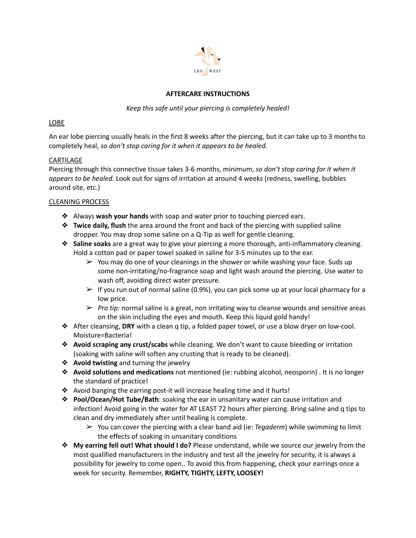

## **AFTERCARE INSTRUCTIONS**

*Keep this safe until your piercing is completely healed!*

## LOBE

An ear lobe piercing usually heals in the first 8 weeks after the piercing, but it can take up to 3 months to completely heal, *so don't stop caring for it when it appears to be healed.*

## **CARTILAGE**

Piercing through this connective tissue takes 3-6 months, minimum, *so don't stop caring for it when it appears to be healed.* Look out for signs of irritation at around 4 weeks (redness, swelling, bubbles around site, etc.)

## CLEANING PROCESS

- ❖ Always **wash your hands** with soap and water prior to touching pierced ears.
- ❖ **Twice daily, flush** the area around the front and back of the piercing with supplied saline dropper. You may drop some saline on a Q-Tip as well for gentle cleaning.
- ❖ **Saline soaks** are a great way to give your piercing a more thorough, anti-inflammatory cleaning. Hold a cotton pad or paper towel soaked in saline for 3-5 minutes up to the ear.
	- $\triangleright$  You may do one of your cleanings in the shower or while washing your face. Suds up some non-irritating/no-fragrance soap and light wash around the piercing. Use water to wash off, avoiding direct water pressure.
	- $\triangleright$  If you run out of normal saline (0.9%), you can pick some up at your local pharmacy for a low price.
	- ➢ *Pro tip:* normal saline is a great, non irritating way to cleanse wounds and sensitive areas on the skin including the eyes and mouth. Keep this liquid gold handy!
- ❖ After cleansing, **DRY** with a clean q tip, a folded paper towel, or use a blow dryer on low-cool. Moisture=Bacteria!
- ❖ **Avoid scraping any crust/scabs** while cleaning. We don't want to cause bleeding or irritation (soaking with saline will soften any crusting that is ready to be cleaned).
- ❖ **Avoid twisting** and turning the jewelry
- ❖ **Avoid solutions and medications** not mentioned (ie: rubbing alcohol, neosporin) . It is no longer the standard of practice!
- ❖ Avoid banging the earring post-it will increase healing time and it hurts!
- ❖ **Pool/Ocean/Hot Tube/Bath**: soaking the ear in unsanitary water can cause irritation and infection! Avoid going in the water for AT LEAST 72 hours after piercing. Bring saline and q tips to clean and dry immediately after until healing is complete.
	- ➢ You can cover the piercing with a clear band aid (ie: *Tegaderm*) while swimming to limit the effects of soaking in unsanitary conditions
- ❖ **My earring fell out! What should I do?** Please understand, while we source our jewelry from the most qualified manufacturers in the industry and test all the jewelry for security, it is always a possibility for jewelry to come open.. To avoid this from happening, check your earrings once a week for security. Remember, **RIGHTY, TIGHTY, LEFTY, LOOSEY!**